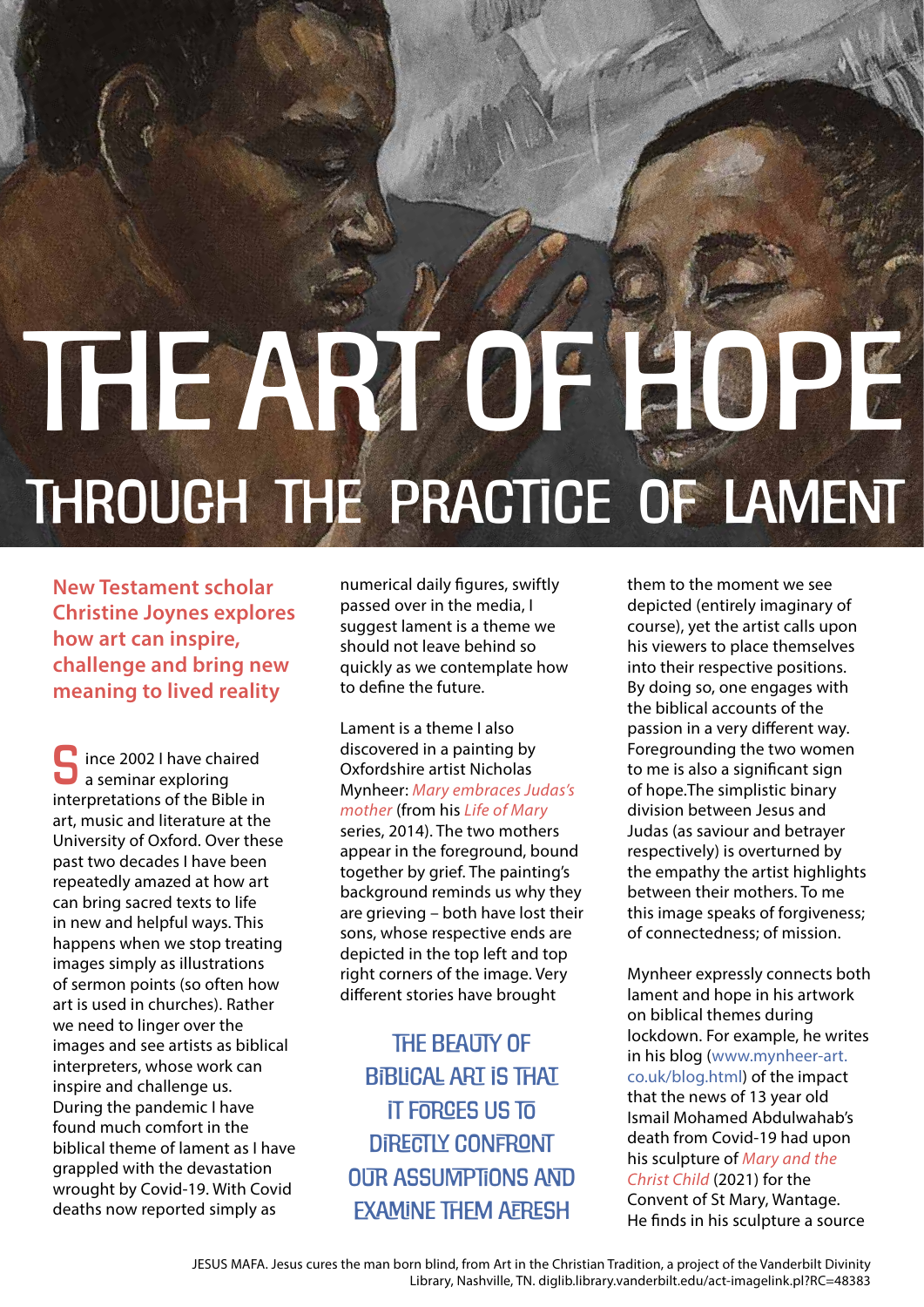## THE ART OF HOPE Through the practice of lament

**New Testament scholar Christine Joynes explores how art can inspire, challenge and bring new meaning to lived reality** 

ince 2002 I have chaired a seminar exploring interpretations of the Bible in art, music and literature at the University of Oxford. Over these past two decades I have been repeatedly amazed at how art can bring sacred texts to life in new and helpful ways. This happens when we stop treating images simply as illustrations of sermon points (so often how art is used in churches). Rather we need to linger over the images and see artists as biblical interpreters, whose work can inspire and challenge us. During the pandemic I have found much comfort in the biblical theme of lament as I have grappled with the devastation wrought by Covid-19. With Covid deaths now reported simply as S

numerical daily figures, swiftly passed over in the media, I suggest lament is a theme we should not leave behind so quickly as we contemplate how to define the future.

Lament is a theme I also discovered in a painting by Oxfordshire artist Nicholas Mynheer: *Mary embraces Judas's mother* (from his *Life of Mary* series, 2014). The two mothers appear in the foreground, bound together by grief. The painting's background reminds us why they are grieving – both have lost their sons, whose respective ends are depicted in the top left and top right corners of the image. Very different stories have brought

THE BFAUTY OF biblical art is that it forces us to DIRECTLY CONFRONT our assumptions and examine them afresh

them to the moment we see depicted (entirely imaginary of course), yet the artist calls upon his viewers to place themselves into their respective positions. By doing so, one engages with the biblical accounts of the passion in a very different way. Foregrounding the two women to me is also a significant sign of hope.The simplistic binary division between Jesus and Judas (as saviour and betrayer respectively) is overturned by the empathy the artist highlights between their mothers. To me this image speaks of forgiveness; of connectedness; of mission.

Mynheer expressly connects both lament and hope in his artwork on biblical themes during lockdown. For example, he writes in his blog (www.mynheer-art. co.uk/blog.html) of the impact that the news of 13 year old Ismail Mohamed Abdulwahab's death from Covid-19 had upon his sculpture of *Mary and the Christ Child* (2021) for the Convent of St Mary, Wantage. He finds in his sculpture a source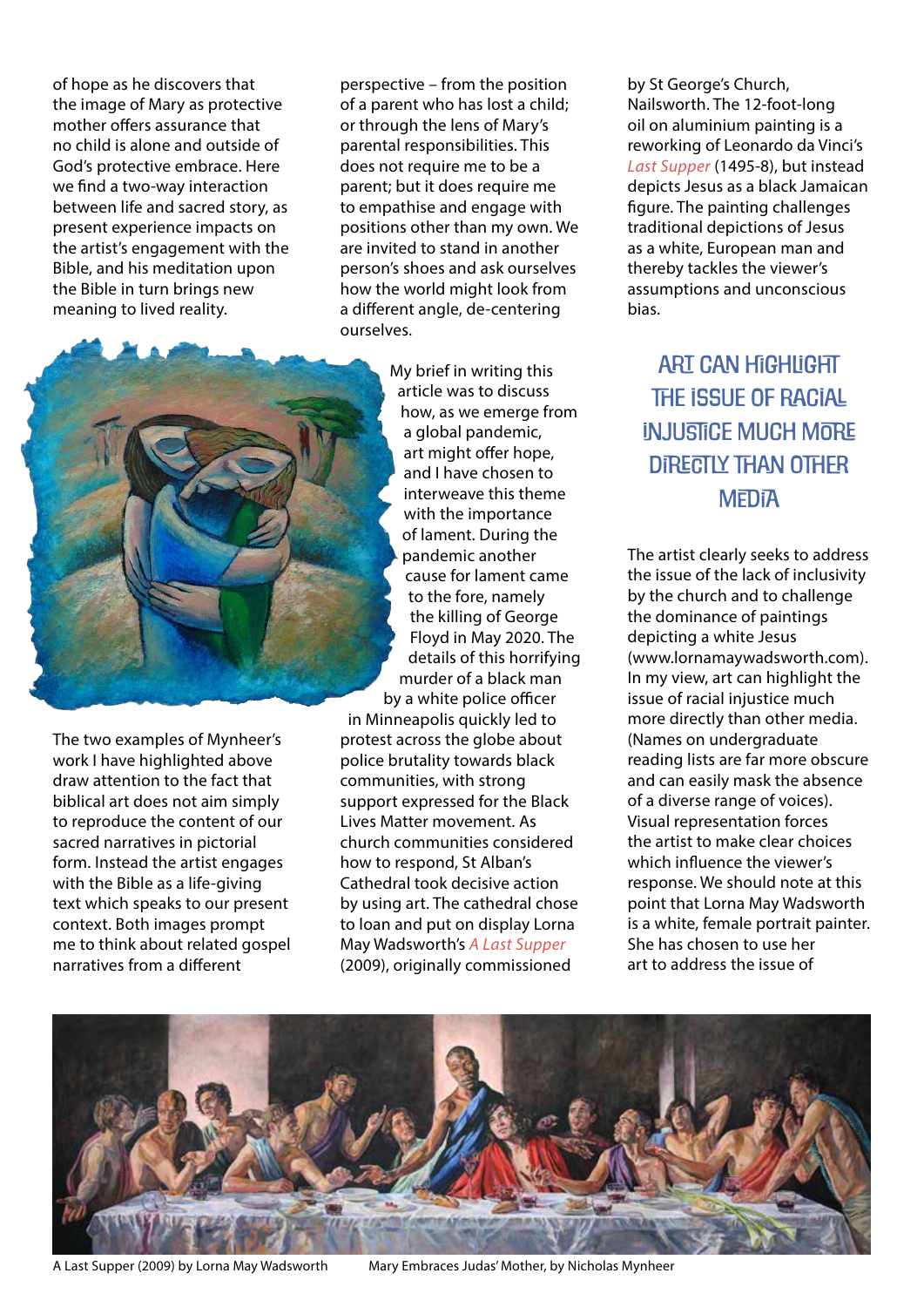of hope as he discovers that the image of Mary as protective mother offers assurance that no child is alone and outside of God's protective embrace. Here we find a two-way interaction between life and sacred story, as present experience impacts on the artist's engagement with the Bible, and his meditation upon the Bible in turn brings new meaning to lived reality.

perspective – from the position of a parent who has lost a child; or through the lens of Mary's parental responsibilities. This does not require me to be a parent; but it does require me to empathise and engage with positions other than my own. We are invited to stand in another person's shoes and ask ourselves how the world might look from a different angle, de-centering ourselves.



My brief in writing this article was to discuss how, as we emerge from a global pandemic, art might offer hope, and I have chosen to interweave this theme with the importance of lament. During the pandemic another cause for lament came to the fore, namely the killing of George Floyd in May 2020. The details of this horrifying murder of a black man by a white police officer in Minneapolis quickly led to protest across the globe about

police brutality towards black communities, with strong support expressed for the Black Lives Matter movement. As church communities considered how to respond, St Alban's Cathedral took decisive action by using art. The cathedral chose to loan and put on display Lorna May Wadsworth's *A Last Supper* (2009), originally commissioned

by St George's Church, Nailsworth. The 12-foot-long oil on aluminium painting is a reworking of Leonardo da Vinci's *Last Supper* (1495-8), but instead depicts Jesus as a black Jamaican figure. The painting challenges traditional depictions of Jesus as a white, European man and thereby tackles the viewer's assumptions and unconscious bias.

## ART CAN HiGHLIGHT THE ISSUE OF RACIAL *INJUSTICE MUCH MORE* directly than other **MEDIA**

The artist clearly seeks to address the issue of the lack of inclusivity by the church and to challenge the dominance of paintings depicting a white Jesus (www.lornamaywadsworth.com). In my view, art can highlight the issue of racial injustice much more directly than other media. (Names on undergraduate reading lists are far more obscure and can easily mask the absence of a diverse range of voices). Visual representation forces the artist to make clear choices which influence the viewer's response. We should note at this point that Lorna May Wadsworth is a white, female portrait painter. She has chosen to use her art to address the issue of



A Last Supper (2009) by Lorna May Wadsworth Mary Embraces Judas' Mother, by Nicholas Mynheer